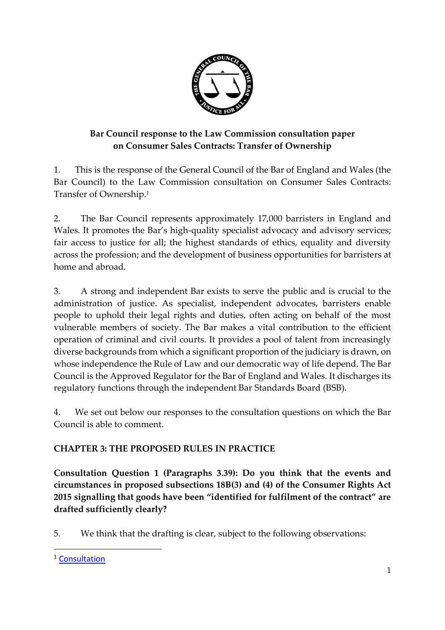

# **Bar Council response to the Law Commission consultation paper on Consumer Sales Contracts: Transfer of Ownership**

1. This is the response of the General Council of the Bar of England and Wales (the Bar Council) to the Law Commission consultation on Consumer Sales Contracts: Transfer of Ownership.<sup>1</sup>

2. The Bar Council represents approximately 17,000 barristers in England and Wales. It promotes the Bar's high-quality specialist advocacy and advisory services; fair access to justice for all; the highest standards of ethics, equality and diversity across the profession; and the development of business opportunities for barristers at home and abroad.

3. A strong and independent Bar exists to serve the public and is crucial to the administration of justice. As specialist, independent advocates, barristers enable people to uphold their legal rights and duties, often acting on behalf of the most vulnerable members of society. The Bar makes a vital contribution to the efficient operation of criminal and civil courts. It provides a pool of talent from increasingly diverse backgrounds from which a significant proportion of the judiciary is drawn, on whose independence the Rule of Law and our democratic way of life depend. The Bar Council is the Approved Regulator for the Bar of England and Wales. It discharges its regulatory functions through the independent Bar Standards Board (BSB).

4. We set out below our responses to the consultation questions on which the Bar Council is able to comment.

# **CHAPTER 3: THE PROPOSED RULES IN PRACTICE**

**Consultation Question 1 (Paragraphs 3.39): Do you think that the events and circumstances in proposed subsections 18B(3) and (4) of the Consumer Rights Act 2015 signalling that goods have been "identified for fulfilment of the contract" are drafted sufficiently clearly?**

5. We think that the drafting is clear, subject to the following observations:

<sup>&</sup>lt;sup>1</sup> [Consultation](https://s3-eu-west-2.amazonaws.com/lawcom-prod-storage-11jsxou24uy7q/uploads/2020/07/6.6721_LC_Consultation-paper_FINAL_230720_WEB.pdf)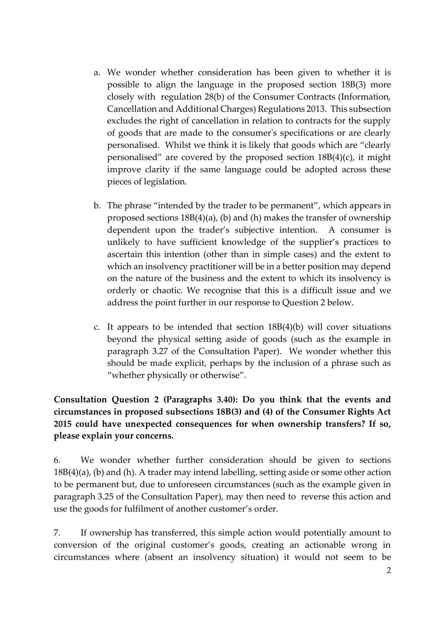- a. We wonder whether consideration has been given to whether it is possible to align the language in the proposed section 18B(3) more closely with regulation 28(b) of the Consumer Contracts (Information, Cancellation and Additional Charges) Regulations 2013. This subsection excludes the right of cancellation in relation to contracts for the supply of goods that are made to the consumer's specifications or are clearly personalised. Whilst we think it is likely that goods which are "clearly personalised" are covered by the proposed section 18B(4)(c), it might improve clarity if the same language could be adopted across these pieces of legislation.
- b. The phrase "intended by the trader to be permanent", which appears in proposed sections 18B(4)(a), (b) and (h) makes the transfer of ownership dependent upon the trader's subjective intention. A consumer is unlikely to have sufficient knowledge of the supplier's practices to ascertain this intention (other than in simple cases) and the extent to which an insolvency practitioner will be in a better position may depend on the nature of the business and the extent to which its insolvency is orderly or chaotic. We recognise that this is a difficult issue and we address the point further in our response to Question 2 below.
- c. It appears to be intended that section 18B(4)(b) will cover situations beyond the physical setting aside of goods (such as the example in paragraph 3.27 of the Consultation Paper). We wonder whether this should be made explicit, perhaps by the inclusion of a phrase such as "whether physically or otherwise".

**Consultation Question 2 (Paragraphs 3.40): Do you think that the events and circumstances in proposed subsections 18B(3) and (4) of the Consumer Rights Act 2015 could have unexpected consequences for when ownership transfers? If so, please explain your concerns.**

6. We wonder whether further consideration should be given to sections 18B(4)(a), (b) and (h). A trader may intend labelling, setting aside or some other action to be permanent but, due to unforeseen circumstances (such as the example given in paragraph 3.25 of the Consultation Paper), may then need to reverse this action and use the goods for fulfilment of another customer's order.

7. If ownership has transferred, this simple action would potentially amount to conversion of the original customer's goods, creating an actionable wrong in circumstances where (absent an insolvency situation) it would not seem to be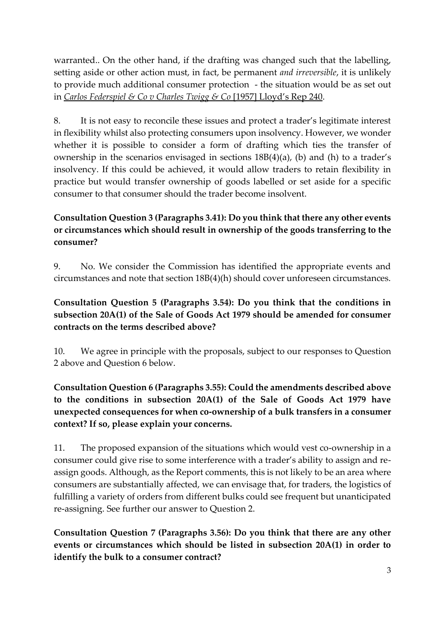warranted.. On the other hand, if the drafting was changed such that the labelling, setting aside or other action must, in fact, be permanent *and irreversible*, it is unlikely to provide much additional consumer protection - the situation would be as set out in *Carlos Federspiel & Co v Charles Twigg & Co* [1957] Lloyd's Rep 240.

8. It is not easy to reconcile these issues and protect a trader's legitimate interest in flexibility whilst also protecting consumers upon insolvency. However, we wonder whether it is possible to consider a form of drafting which ties the transfer of ownership in the scenarios envisaged in sections 18B(4)(a), (b) and (h) to a trader's insolvency. If this could be achieved, it would allow traders to retain flexibility in practice but would transfer ownership of goods labelled or set aside for a specific consumer to that consumer should the trader become insolvent.

# **Consultation Question 3 (Paragraphs 3.41): Do you think that there any other events or circumstances which should result in ownership of the goods transferring to the consumer?**

9. No. We consider the Commission has identified the appropriate events and circumstances and note that section 18B(4)(h) should cover unforeseen circumstances.

#### **Consultation Question 5 (Paragraphs 3.54): Do you think that the conditions in subsection 20A(1) of the Sale of Goods Act 1979 should be amended for consumer contracts on the terms described above?**

10. We agree in principle with the proposals, subject to our responses to Question 2 above and Question 6 below.

#### **Consultation Question 6 (Paragraphs 3.55): Could the amendments described above to the conditions in subsection 20A(1) of the Sale of Goods Act 1979 have unexpected consequences for when co-ownership of a bulk transfers in a consumer context? If so, please explain your concerns.**

11. The proposed expansion of the situations which would vest co-ownership in a consumer could give rise to some interference with a trader's ability to assign and reassign goods. Although, as the Report comments, this is not likely to be an area where consumers are substantially affected, we can envisage that, for traders, the logistics of fulfilling a variety of orders from different bulks could see frequent but unanticipated re-assigning. See further our answer to Question 2.

**Consultation Question 7 (Paragraphs 3.56): Do you think that there are any other events or circumstances which should be listed in subsection 20A(1) in order to identify the bulk to a consumer contract?**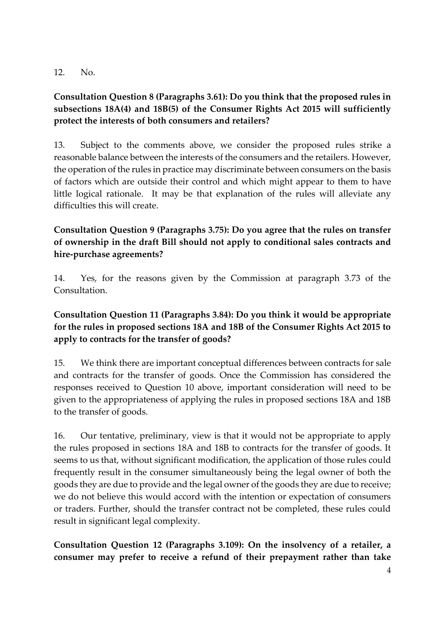#### 12. No.

#### **Consultation Question 8 (Paragraphs 3.61): Do you think that the proposed rules in subsections 18A(4) and 18B(5) of the Consumer Rights Act 2015 will sufficiently protect the interests of both consumers and retailers?**

13. Subject to the comments above, we consider the proposed rules strike a reasonable balance between the interests of the consumers and the retailers. However, the operation of the rules in practice may discriminate between consumers on the basis of factors which are outside their control and which might appear to them to have little logical rationale. It may be that explanation of the rules will alleviate any difficulties this will create.

# **Consultation Question 9 (Paragraphs 3.75): Do you agree that the rules on transfer of ownership in the draft Bill should not apply to conditional sales contracts and hire-purchase agreements?**

14. Yes, for the reasons given by the Commission at paragraph 3.73 of the Consultation.

# **Consultation Question 11 (Paragraphs 3.84): Do you think it would be appropriate for the rules in proposed sections 18A and 18B of the Consumer Rights Act 2015 to apply to contracts for the transfer of goods?**

15. We think there are important conceptual differences between contracts for sale and contracts for the transfer of goods. Once the Commission has considered the responses received to Question 10 above, important consideration will need to be given to the appropriateness of applying the rules in proposed sections 18A and 18B to the transfer of goods.

16. Our tentative, preliminary, view is that it would not be appropriate to apply the rules proposed in sections 18A and 18B to contracts for the transfer of goods. It seems to us that, without significant modification, the application of those rules could frequently result in the consumer simultaneously being the legal owner of both the goods they are due to provide and the legal owner of the goods they are due to receive; we do not believe this would accord with the intention or expectation of consumers or traders. Further, should the transfer contract not be completed, these rules could result in significant legal complexity.

**Consultation Question 12 (Paragraphs 3.109): On the insolvency of a retailer, a consumer may prefer to receive a refund of their prepayment rather than take**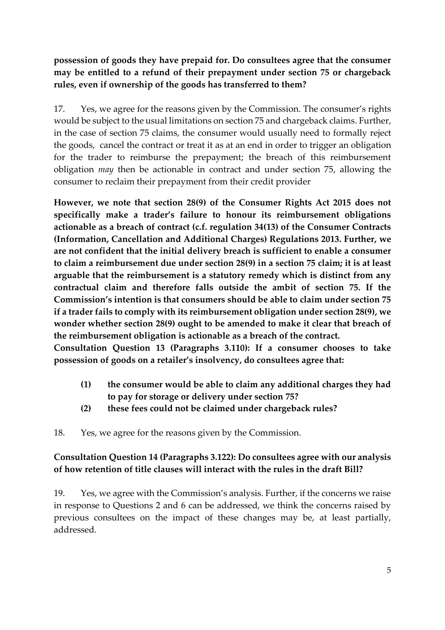**possession of goods they have prepaid for. Do consultees agree that the consumer may be entitled to a refund of their prepayment under section 75 or chargeback rules, even if ownership of the goods has transferred to them?**

17. Yes, we agree for the reasons given by the Commission. The consumer's rights would be subject to the usual limitations on section 75 and chargeback claims. Further, in the case of section 75 claims, the consumer would usually need to formally reject the goods, cancel the contract or treat it as at an end in order to trigger an obligation for the trader to reimburse the prepayment; the breach of this reimbursement obligation *may* then be actionable in contract and under section 75, allowing the consumer to reclaim their prepayment from their credit provider

**However, we note that section 28(9) of the Consumer Rights Act 2015 does not specifically make a trader's failure to honour its reimbursement obligations actionable as a breach of contract (c.f. regulation 34(13) of the Consumer Contracts (Information, Cancellation and Additional Charges) Regulations 2013. Further, we are not confident that the initial delivery breach is sufficient to enable a consumer to claim a reimbursement due under section 28(9) in a section 75 claim; it is at least arguable that the reimbursement is a statutory remedy which is distinct from any contractual claim and therefore falls outside the ambit of section 75. If the Commission's intention is that consumers should be able to claim under section 75 if a trader fails to comply with its reimbursement obligation under section 28(9), we wonder whether section 28(9) ought to be amended to make it clear that breach of the reimbursement obligation is actionable as a breach of the contract.**

**Consultation Question 13 (Paragraphs 3.110): If a consumer chooses to take possession of goods on a retailer's insolvency, do consultees agree that:**

- **(1) the consumer would be able to claim any additional charges they had to pay for storage or delivery under section 75?**
- **(2) these fees could not be claimed under chargeback rules?**

18. Yes, we agree for the reasons given by the Commission.

#### **Consultation Question 14 (Paragraphs 3.122): Do consultees agree with our analysis of how retention of title clauses will interact with the rules in the draft Bill?**

19. Yes, we agree with the Commission's analysis. Further, if the concerns we raise in response to Questions 2 and 6 can be addressed, we think the concerns raised by previous consultees on the impact of these changes may be, at least partially, addressed.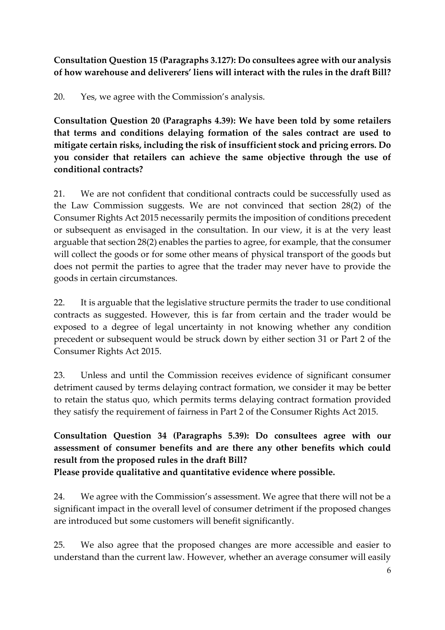**Consultation Question 15 (Paragraphs 3.127): Do consultees agree with our analysis of how warehouse and deliverers' liens will interact with the rules in the draft Bill?**

20. Yes, we agree with the Commission's analysis.

**Consultation Question 20 (Paragraphs 4.39): We have been told by some retailers that terms and conditions delaying formation of the sales contract are used to mitigate certain risks, including the risk of insufficient stock and pricing errors. Do you consider that retailers can achieve the same objective through the use of conditional contracts?**

21. We are not confident that conditional contracts could be successfully used as the Law Commission suggests. We are not convinced that section 28(2) of the Consumer Rights Act 2015 necessarily permits the imposition of conditions precedent or subsequent as envisaged in the consultation. In our view, it is at the very least arguable that section 28(2) enables the parties to agree, for example, that the consumer will collect the goods or for some other means of physical transport of the goods but does not permit the parties to agree that the trader may never have to provide the goods in certain circumstances.

22. It is arguable that the legislative structure permits the trader to use conditional contracts as suggested. However, this is far from certain and the trader would be exposed to a degree of legal uncertainty in not knowing whether any condition precedent or subsequent would be struck down by either section 31 or Part 2 of the Consumer Rights Act 2015.

23. Unless and until the Commission receives evidence of significant consumer detriment caused by terms delaying contract formation, we consider it may be better to retain the status quo, which permits terms delaying contract formation provided they satisfy the requirement of fairness in Part 2 of the Consumer Rights Act 2015.

# **Consultation Question 34 (Paragraphs 5.39): Do consultees agree with our assessment of consumer benefits and are there any other benefits which could result from the proposed rules in the draft Bill?**

**Please provide qualitative and quantitative evidence where possible.**

24. We agree with the Commission's assessment. We agree that there will not be a significant impact in the overall level of consumer detriment if the proposed changes are introduced but some customers will benefit significantly.

25. We also agree that the proposed changes are more accessible and easier to understand than the current law. However, whether an average consumer will easily